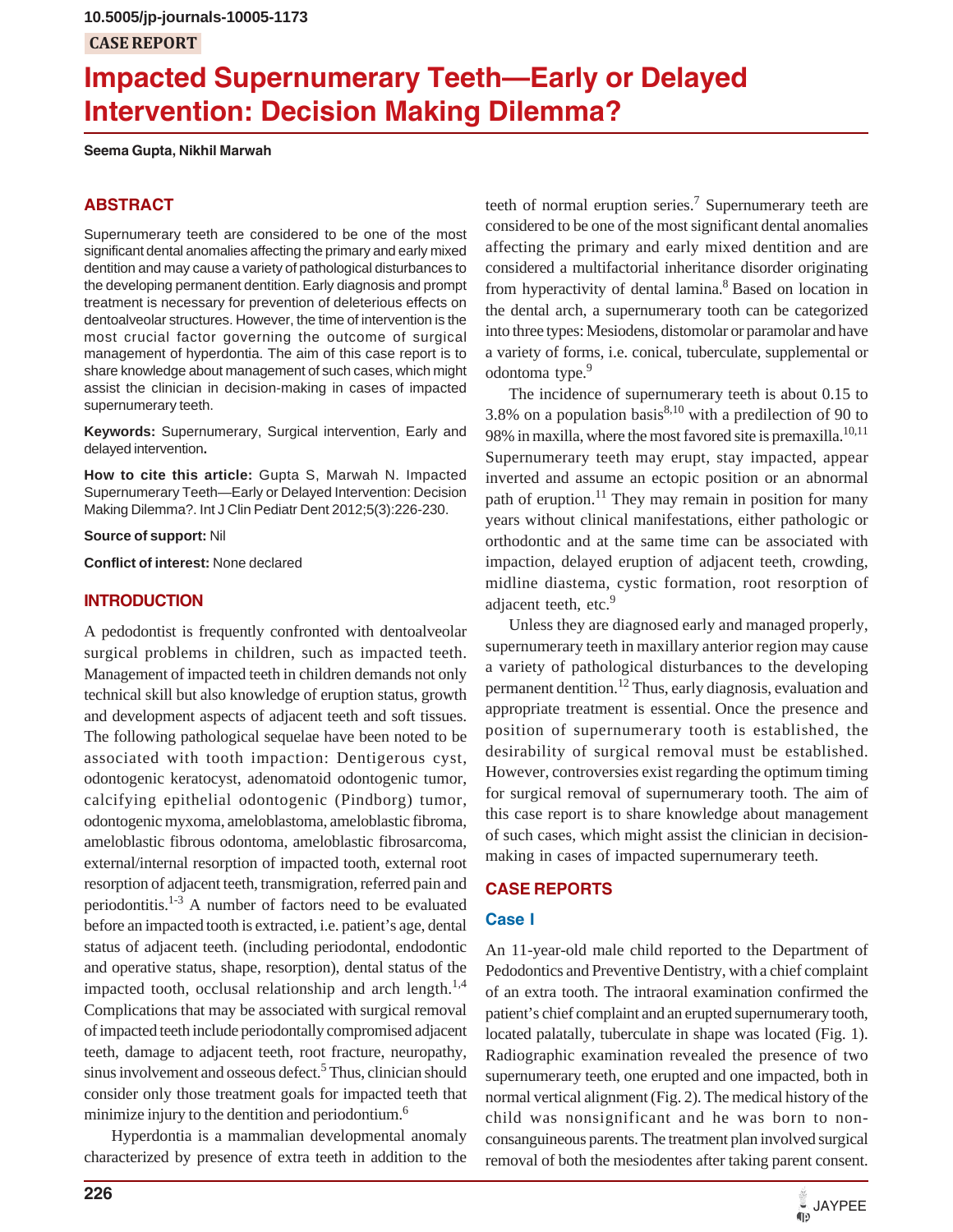# **Impacted Supernumerary Teeth—Early or Delayed Intervention: Decision Making Dilemma?**

**Seema Gupta, Nikhil Marwah**

# **ABSTRACT**

Supernumerary teeth are considered to be one of the most significant dental anomalies affecting the primary and early mixed dentition and may cause a variety of pathological disturbances to the developing permanent dentition. Early diagnosis and prompt treatment is necessary for prevention of deleterious effects on dentoalveolar structures. However, the time of intervention is the most crucial factor governing the outcome of surgical management of hyperdontia. The aim of this case report is to share knowledge about management of such cases, which might assist the clinician in decision-making in cases of impacted supernumerary teeth.

**Keywords:** Supernumerary, Surgical intervention, Early and delayed intervention**.**

**How to cite this article:** Gupta S, Marwah N. Impacted Supernumerary Teeth—Early or Delayed Intervention: Decision Making Dilemma?. Int J Clin Pediatr Dent 2012;5(3):226-230.

**Source of support:** Nil

**Conflict of interest:** None declared

#### **INTRODUCTION**

A pedodontist is frequently confronted with dentoalveolar surgical problems in children, such as impacted teeth. Management of impacted teeth in children demands not only technical skill but also knowledge of eruption status, growth and development aspects of adjacent teeth and soft tissues. The following pathological sequelae have been noted to be associated with tooth impaction: Dentigerous cyst, odontogenic keratocyst, adenomatoid odontogenic tumor, calcifying epithelial odontogenic (Pindborg) tumor, odontogenic myxoma, ameloblastoma, ameloblastic fibroma, ameloblastic fibrous odontoma, ameloblastic fibrosarcoma, external/internal resorption of impacted tooth, external root resorption of adjacent teeth, transmigration, referred pain and periodontitis.1-3 A number of factors need to be evaluated before an impacted tooth is extracted, i.e. patient's age, dental status of adjacent teeth. (including periodontal, endodontic and operative status, shape, resorption), dental status of the impacted tooth, occlusal relationship and arch length.<sup>1,4</sup> Complications that may be associated with surgical removal of impacted teeth include periodontally compromised adjacent teeth, damage to adjacent teeth, root fracture, neuropathy, sinus involvement and osseous defect.<sup>5</sup> Thus, clinician should consider only those treatment goals for impacted teeth that minimize injury to the dentition and periodontium.<sup>6</sup>

 Hyperdontia is a mammalian developmental anomaly characterized by presence of extra teeth in addition to the

teeth of normal eruption series.<sup>7</sup> Supernumerary teeth are considered to be one of the most significant dental anomalies affecting the primary and early mixed dentition and are considered a multifactorial inheritance disorder originating from hyperactivity of dental lamina.<sup>8</sup> Based on location in the dental arch, a supernumerary tooth can be categorized into three types: Mesiodens, distomolar or paramolar and have a variety of forms, i.e. conical, tuberculate, supplemental or odontoma type.<sup>9</sup>

The incidence of supernumerary teeth is about 0.15 to 3.8% on a population basis<sup>8,10</sup> with a predilection of 90 to 98% in maxilla, where the most favored site is premaxilla.<sup>10,11</sup> Supernumerary teeth may erupt, stay impacted, appear inverted and assume an ectopic position or an abnormal path of eruption.<sup>11</sup> They may remain in position for many years without clinical manifestations, either pathologic or orthodontic and at the same time can be associated with impaction, delayed eruption of adjacent teeth, crowding, midline diastema, cystic formation, root resorption of adjacent teeth, etc.<sup>9</sup>

Unless they are diagnosed early and managed properly, supernumerary teeth in maxillary anterior region may cause a variety of pathological disturbances to the developing permanent dentition.<sup>12</sup> Thus, early diagnosis, evaluation and appropriate treatment is essential. Once the presence and position of supernumerary tooth is established, the desirability of surgical removal must be established. However, controversies exist regarding the optimum timing for surgical removal of supernumerary tooth. The aim of this case report is to share knowledge about management of such cases, which might assist the clinician in decisionmaking in cases of impacted supernumerary teeth.

# **CASE REPORTS**

# **Case I**

An 11-year-old male child reported to the Department of Pedodontics and Preventive Dentistry, with a chief complaint of an extra tooth. The intraoral examination confirmed the patient's chief complaint and an erupted supernumerary tooth, located palatally, tuberculate in shape was located (Fig. 1). Radiographic examination revealed the presence of two supernumerary teeth, one erupted and one impacted, both in normal vertical alignment (Fig. 2). The medical history of the child was nonsignificant and he was born to nonconsanguineous parents. The treatment plan involved surgical removal of both the mesiodentes after taking parent consent.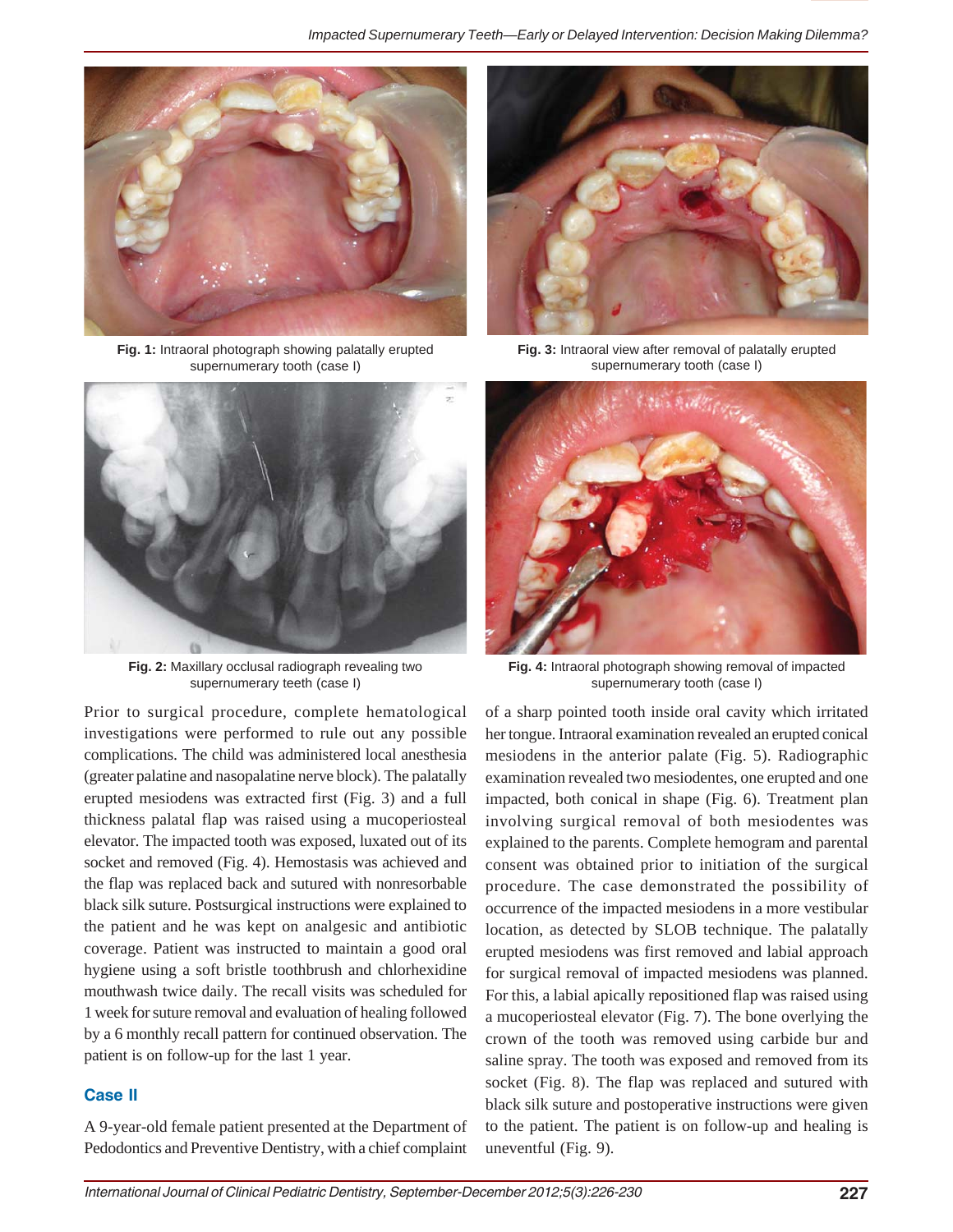

**Fig. 1:** Intraoral photograph showing palatally erupted supernumerary tooth (case I)



**Fig. 2:** Maxillary occlusal radiograph revealing two supernumerary teeth (case I)

Prior to surgical procedure, complete hematological investigations were performed to rule out any possible complications. The child was administered local anesthesia (greater palatine and nasopalatine nerve block). The palatally erupted mesiodens was extracted first (Fig. 3) and a full thickness palatal flap was raised using a mucoperiosteal elevator. The impacted tooth was exposed, luxated out of its socket and removed (Fig. 4). Hemostasis was achieved and the flap was replaced back and sutured with nonresorbable black silk suture. Postsurgical instructions were explained to the patient and he was kept on analgesic and antibiotic coverage. Patient was instructed to maintain a good oral hygiene using a soft bristle toothbrush and chlorhexidine mouthwash twice daily. The recall visits was scheduled for 1 week for suture removal and evaluation of healing followed by a 6 monthly recall pattern for continued observation. The patient is on follow-up for the last 1 year.

# **Case II**

A 9-year-old female patient presented at the Department of Pedodontics and Preventive Dentistry, with a chief complaint



**Fig. 3:** Intraoral view after removal of palatally erupted supernumerary tooth (case I)



**Fig. 4:** Intraoral photograph showing removal of impacted supernumerary tooth (case I)

of a sharp pointed tooth inside oral cavity which irritated her tongue. Intraoral examination revealed an erupted conical mesiodens in the anterior palate (Fig. 5). Radiographic examination revealed two mesiodentes, one erupted and one impacted, both conical in shape (Fig. 6). Treatment plan involving surgical removal of both mesiodentes was explained to the parents. Complete hemogram and parental consent was obtained prior to initiation of the surgical procedure. The case demonstrated the possibility of occurrence of the impacted mesiodens in a more vestibular location, as detected by SLOB technique. The palatally erupted mesiodens was first removed and labial approach for surgical removal of impacted mesiodens was planned. For this, a labial apically repositioned flap was raised using a mucoperiosteal elevator (Fig. 7). The bone overlying the crown of the tooth was removed using carbide bur and saline spray. The tooth was exposed and removed from its socket (Fig. 8). The flap was replaced and sutured with black silk suture and postoperative instructions were given to the patient. The patient is on follow-up and healing is uneventful (Fig. 9).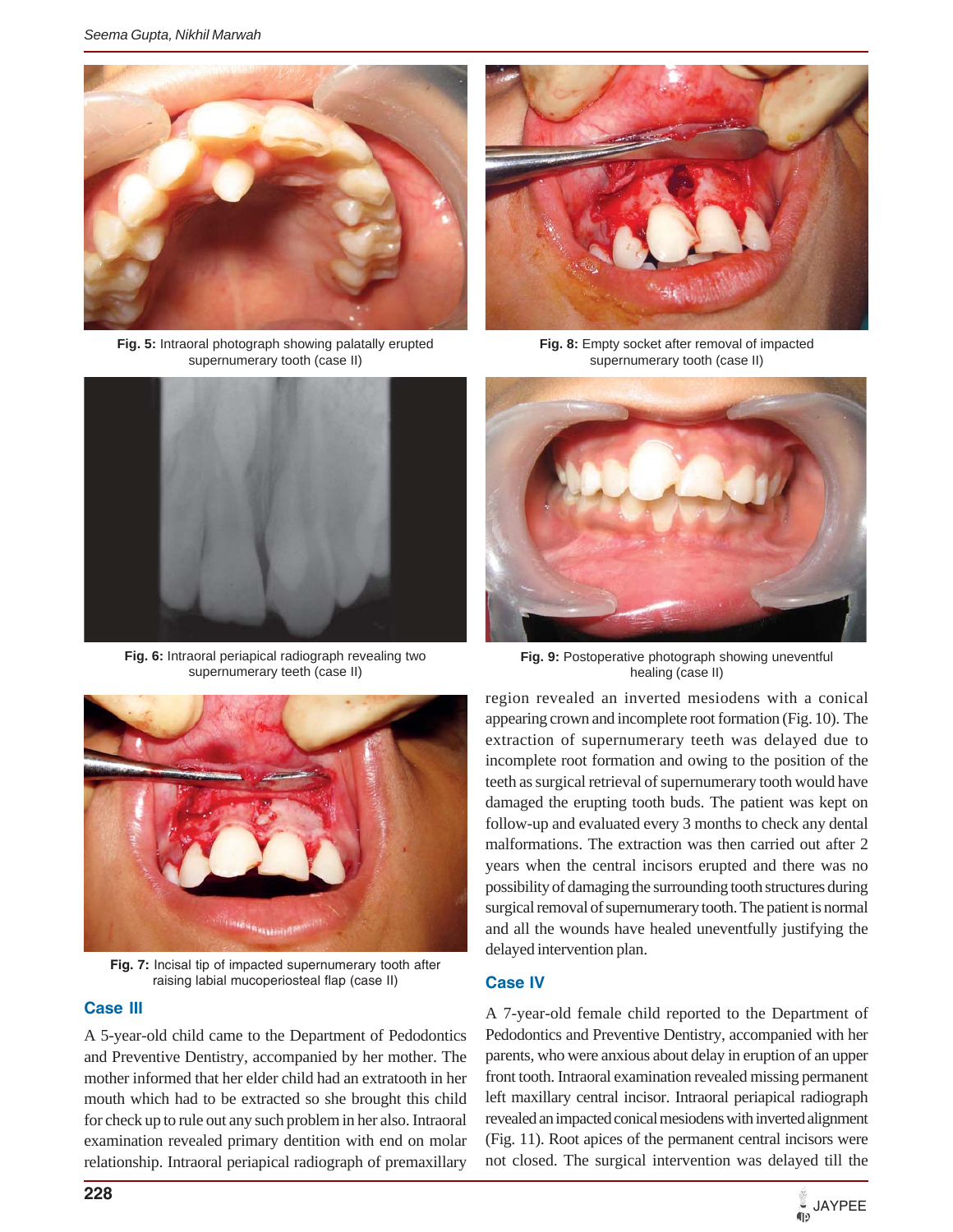*Seema Gupta, Nikhil Marwah*



**Fig. 5:** Intraoral photograph showing palatally erupted supernumerary tooth (case II)



**Fig. 6:** Intraoral periapical radiograph revealing two supernumerary teeth (case II)



**Fig. 7:** Incisal tip of impacted supernumerary tooth after raising labial mucoperiosteal flap (case II)

# **Case III**

A 5-year-old child came to the Department of Pedodontics and Preventive Dentistry, accompanied by her mother. The mother informed that her elder child had an extratooth in her mouth which had to be extracted so she brought this child for check up to rule out any such problem in her also. Intraoral examination revealed primary dentition with end on molar relationship. Intraoral periapical radiograph of premaxillary



**Fig. 8:** Empty socket after removal of impacted supernumerary tooth (case II)



**Fig. 9:** Postoperative photograph showing uneventful healing (case II)

region revealed an inverted mesiodens with a conical appearing crown and incomplete root formation (Fig. 10). The extraction of supernumerary teeth was delayed due to incomplete root formation and owing to the position of the teeth as surgical retrieval of supernumerary tooth would have damaged the erupting tooth buds. The patient was kept on follow-up and evaluated every 3 months to check any dental malformations. The extraction was then carried out after 2 years when the central incisors erupted and there was no possibility of damaging the surrounding tooth structures during surgical removal of supernumerary tooth. The patient is normal and all the wounds have healed uneventfully justifying the delayed intervention plan.

# **Case IV**

A 7-year-old female child reported to the Department of Pedodontics and Preventive Dentistry, accompanied with her parents, who were anxious about delay in eruption of an upper front tooth. Intraoral examination revealed missing permanent left maxillary central incisor. Intraoral periapical radiograph revealed an impacted conical mesiodens with inverted alignment (Fig. 11). Root apices of the permanent central incisors were not closed. The surgical intervention was delayed till the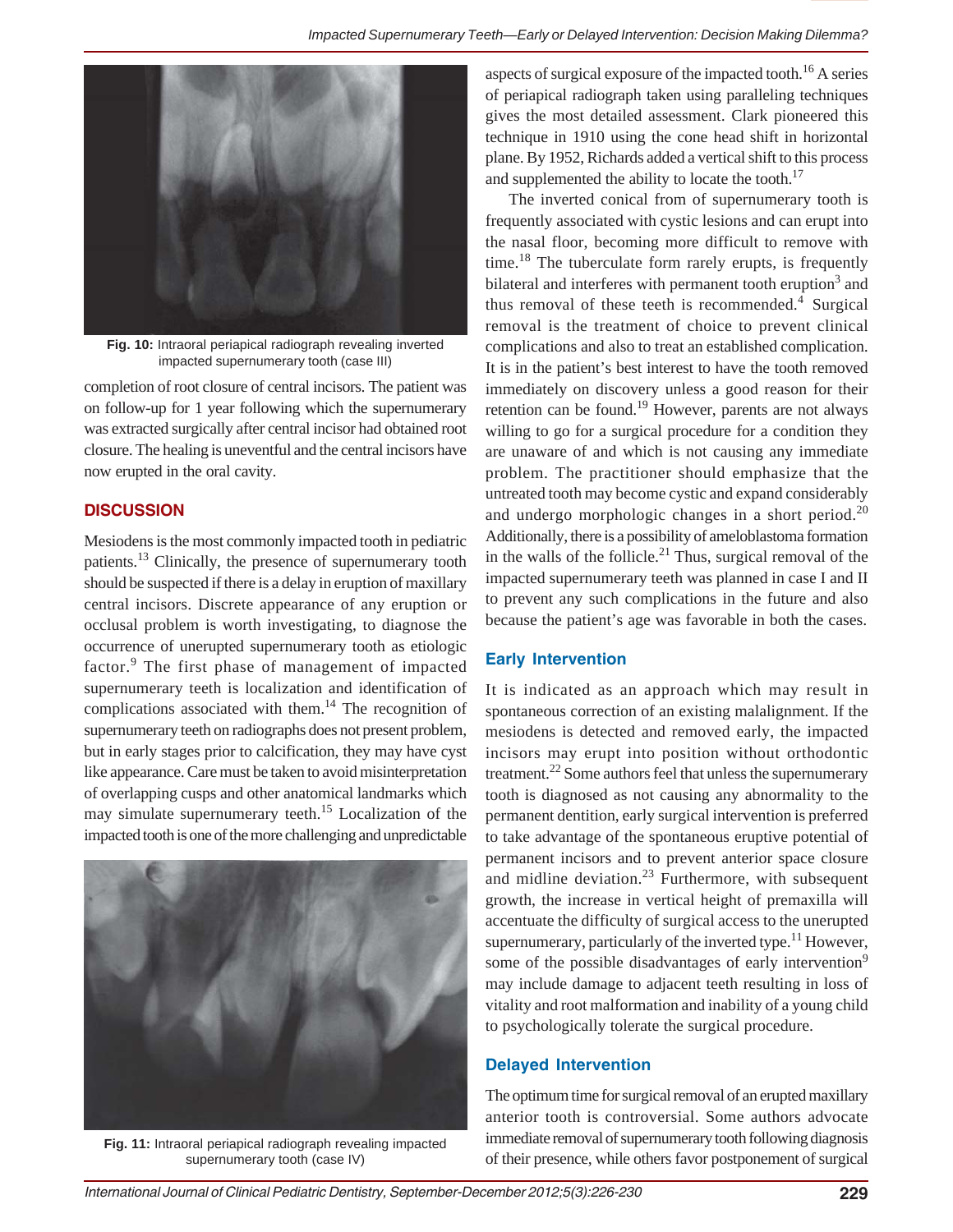

**Fig. 10:** Intraoral periapical radiograph revealing inverted impacted supernumerary tooth (case III)

completion of root closure of central incisors. The patient was on follow-up for 1 year following which the supernumerary was extracted surgically after central incisor had obtained root closure. The healing is uneventful and the central incisors have now erupted in the oral cavity.

#### **DISCUSSION**

Mesiodens is the most commonly impacted tooth in pediatric patients.13 Clinically, the presence of supernumerary tooth should be suspected if there is a delay in eruption of maxillary central incisors. Discrete appearance of any eruption or occlusal problem is worth investigating, to diagnose the occurrence of unerupted supernumerary tooth as etiologic factor.<sup>9</sup> The first phase of management of impacted supernumerary teeth is localization and identification of complications associated with them.14 The recognition of supernumerary teeth on radiographs does not present problem, but in early stages prior to calcification, they may have cyst like appearance. Care must be taken to avoid misinterpretation of overlapping cusps and other anatomical landmarks which may simulate supernumerary teeth.15 Localization of the impacted tooth is one of the more challenging and unpredictable



**Fig. 11:** Intraoral periapical radiograph revealing impacted supernumerary tooth (case IV)

aspects of surgical exposure of the impacted tooth.<sup>16</sup> A series of periapical radiograph taken using paralleling techniques gives the most detailed assessment. Clark pioneered this technique in 1910 using the cone head shift in horizontal plane. By 1952, Richards added a vertical shift to this process and supplemented the ability to locate the tooth.<sup>17</sup>

The inverted conical from of supernumerary tooth is frequently associated with cystic lesions and can erupt into the nasal floor, becoming more difficult to remove with time.<sup>18</sup> The tuberculate form rarely erupts, is frequently bilateral and interferes with permanent tooth eruption<sup>3</sup> and thus removal of these teeth is recommended. $4$  Surgical removal is the treatment of choice to prevent clinical complications and also to treat an established complication. It is in the patient's best interest to have the tooth removed immediately on discovery unless a good reason for their retention can be found.<sup>19</sup> However, parents are not always willing to go for a surgical procedure for a condition they are unaware of and which is not causing any immediate problem. The practitioner should emphasize that the untreated tooth may become cystic and expand considerably and undergo morphologic changes in a short period.<sup>20</sup> Additionally, there is a possibility of ameloblastoma formation in the walls of the follicle. $21$  Thus, surgical removal of the impacted supernumerary teeth was planned in case I and II to prevent any such complications in the future and also because the patient's age was favorable in both the cases.

# **Early Intervention**

It is indicated as an approach which may result in spontaneous correction of an existing malalignment. If the mesiodens is detected and removed early, the impacted incisors may erupt into position without orthodontic treatment.<sup>22</sup> Some authors feel that unless the supernumerary tooth is diagnosed as not causing any abnormality to the permanent dentition, early surgical intervention is preferred to take advantage of the spontaneous eruptive potential of permanent incisors and to prevent anterior space closure and midline deviation. $23$  Furthermore, with subsequent growth, the increase in vertical height of premaxilla will accentuate the difficulty of surgical access to the unerupted supernumerary, particularly of the inverted type.<sup>11</sup> However, some of the possible disadvantages of early intervention<sup>9</sup> may include damage to adjacent teeth resulting in loss of vitality and root malformation and inability of a young child to psychologically tolerate the surgical procedure.

#### **Delayed Intervention**

The optimum time for surgical removal of an erupted maxillary anterior tooth is controversial. Some authors advocate immediate removal of supernumerary tooth following diagnosis of their presence, while others favor postponement of surgical